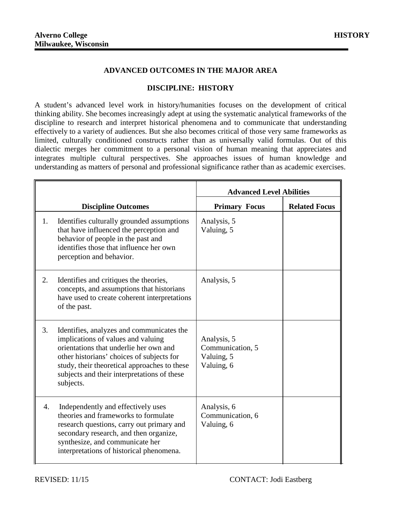## **ADVANCED OUTCOMES IN THE MAJOR AREA**

## **DISCIPLINE: HISTORY**

A student's advanced level work in history/humanities focuses on the development of critical thinking ability. She becomes increasingly adept at using the systematic analytical frameworks of the discipline to research and interpret historical phenomena and to communicate that understanding effectively to a variety of audiences. But she also becomes critical of those very same frameworks as limited, culturally conditioned constructs rather than as universally valid formulas. Out of this dialectic merges her commitment to a personal vision of human meaning that appreciates and integrates multiple cultural perspectives. She approaches issues of human knowledge and understanding as matters of personal and professional significance rather than as academic exercises.

|    |                                                                                                                                                                                                                                                                                    | <b>Advanced Level Abilities</b>                             |                      |
|----|------------------------------------------------------------------------------------------------------------------------------------------------------------------------------------------------------------------------------------------------------------------------------------|-------------------------------------------------------------|----------------------|
|    | <b>Discipline Outcomes</b>                                                                                                                                                                                                                                                         | <b>Primary Focus</b>                                        | <b>Related Focus</b> |
| 1. | Identifies culturally grounded assumptions<br>that have influenced the perception and<br>behavior of people in the past and<br>identifies those that influence her own<br>perception and behavior.                                                                                 | Analysis, 5<br>Valuing, 5                                   |                      |
| 2. | Identifies and critiques the theories,<br>concepts, and assumptions that historians<br>have used to create coherent interpretations<br>of the past.                                                                                                                                | Analysis, 5                                                 |                      |
| 3. | Identifies, analyzes and communicates the<br>implications of values and valuing<br>orientations that underlie her own and<br>other historians' choices of subjects for<br>study, their theoretical approaches to these<br>subjects and their interpretations of these<br>subjects. | Analysis, 5<br>Communication, 5<br>Valuing, 5<br>Valuing, 6 |                      |
| 4. | Independently and effectively uses<br>theories and frameworks to formulate<br>research questions, carry out primary and<br>secondary research, and then organize,<br>synthesize, and communicate her<br>interpretations of historical phenomena.                                   | Analysis, 6<br>Communication, 6<br>Valuing, 6               |                      |